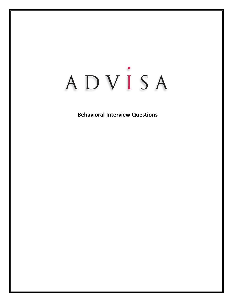# ADVISA

# **Behavioral Interview Questions**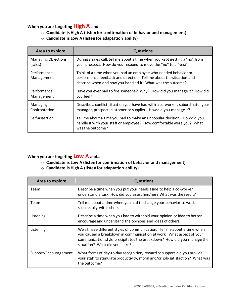# **When you are targeting High A and…**

- o **Candidate is High A (listen for confirmation of behavior and management)**
- o **Candidate is Low A (listen for adaptation ability)**

| Area to explore            | <b>Questions</b>                                                                                                                                                                                      |  |
|----------------------------|-------------------------------------------------------------------------------------------------------------------------------------------------------------------------------------------------------|--|
| <b>Managing Objections</b> | During a sales call, tell me about a time when you kept getting a "no" from                                                                                                                           |  |
| (sales)                    | your prospect. How do you respond to move the "no" to a "yes?"                                                                                                                                        |  |
| Performance<br>Management  | Think of a time when you had an employee who needed behavior or<br>performance feedback and direction. Tell me about the situation and<br>describe when and how you handled it. What was the outcome? |  |
| Performance                | Have you ever had to fire someone? Why? How did you manage it? How did                                                                                                                                |  |
| Management                 | you feel?                                                                                                                                                                                             |  |
| Managing                   | Describe a conflict situation you have had with a co-worker, subordinate, your                                                                                                                        |  |
| Confrontation              | manager, prospect, customer or supplier. How did you manage it?                                                                                                                                       |  |
| Self-Assertion             | Tell me about a time you had to make an unpopular decision. How did you<br>handle it with your staff or employee? How comfortable were you? What<br>was the outcome?                                  |  |

### **When you are targeting Low A and…**

- o **Candidate is Low A (listen for confirmation of behavior and management)**
- o **Candidate is High A (listen for adaptation ability)**

| Area to explore       | <b>Questions</b>                                                                                                                                                                                                                                             |
|-----------------------|--------------------------------------------------------------------------------------------------------------------------------------------------------------------------------------------------------------------------------------------------------------|
| Team                  | Describe a time when you put your needs aside to help a co-worker<br>understand a task. How did you assist him/her? What was the result?                                                                                                                     |
| Team                  | Tell me about a time when you had to change your behavior to work<br>successfully with others.                                                                                                                                                               |
| Listening             | Describe a time when you had to withhold your opinion or idea to better<br>encourage and understand the opinions and ideas of others.                                                                                                                        |
| Listening             | We all have different styles of communication. Tell me about a time when<br>you caused a breakdown in communication at work. What aspect of your<br>communication style precipitated the breakdown? How did you manage the<br>situation? What did you learn? |
| Support/Encouragement | What forms of day-to-day recognition, reward or support did you provide<br>your staff to stimulate productivity, moral and/or job-satisfaction? What was<br>the outcome?                                                                                     |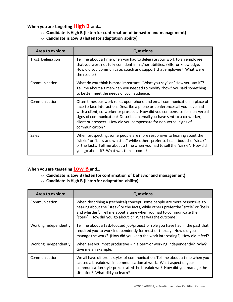# **When you are targeting High B and…**

- o **Candidate is High B (listen for confirmation of behavior and management)**
- o **Candidate is Low B (listen for adaptation ability)**

| Area to explore   | <b>Questions</b>                                                                                                                                                                                                                                                                                                                                                                                           |
|-------------------|------------------------------------------------------------------------------------------------------------------------------------------------------------------------------------------------------------------------------------------------------------------------------------------------------------------------------------------------------------------------------------------------------------|
| Trust, Delegation | Tell me about a time when you had to delegate your work to an employee<br>that you were not fully confident in his/her abilities, skills, or knowledge.<br>How did you communicate, coach and support that employee? What were<br>the results?                                                                                                                                                             |
| Communication     | What do you think is more important, "What you say" or "How you say it"?<br>Tell me about a time when you needed to modify "how" you said something<br>to better meet the needs of your audience.                                                                                                                                                                                                          |
| Communication     | Often times our work relies upon phone and email communication in place of<br>face-to-face interaction. Describe a phone or conference call you have had<br>with a client, co-worker or prospect. How did you compensate for non-verbal<br>signs of communication? Describe an email you have sent to a co-worker,<br>client or prospect. How did you compensate for non-verbal signs of<br>communication? |
| <b>Sales</b>      | When prospecting, some people are more responsive to hearing about the<br>"sizzle" or "bells and whistles" while others prefer to hear about the "steak"<br>or the facts. Tell me about a time when you had to sell the "sizzle". How did<br>you go about it? What was the outcome?                                                                                                                        |

# **When you are targeting Low B and…**

- o **Candidate is Low B (listen for confirmation of behavior and management)**
- o **Candidate is High B (listen for adaptation ability)**

| Area to explore       | <b>Questions</b>                                                                                                                                                                                                                                                                                  |
|-----------------------|---------------------------------------------------------------------------------------------------------------------------------------------------------------------------------------------------------------------------------------------------------------------------------------------------|
| Communication         | When describing a (technical) concept, some people are more responsive to<br>hearing about the "steak" or the facts, while others prefer the "sizzle" or "bells<br>and whistles". Tell me about a time when you had to communicate the<br>"steak". How did you go about it? What was the outcome? |
| Working Independently | Tell me about a task-focused job/project or role you have had in the past that<br>required you to work independently for most of the day. How did you<br>manage the work? (How did you keep the work interesting?) How did it feel?                                                               |
| Working Independently | When are you most productive - in a team or working independently? Why?<br>Give me an example.                                                                                                                                                                                                    |
| Communication         | We all have different styles of communication. Tell me about a time when you<br>caused a breakdown in communication at work. What aspect of your<br>communication style precipitated the breakdown? How did you manage the<br>situation? What did you learn?                                      |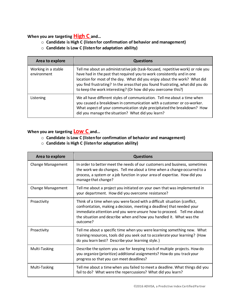# **When you are targeting High C and…**

- o **Candidate is High C (listen for confirmation of behavior and management)**
- o **Candidate is Low C (listen for adaptation ability)**

| Area to explore                    | <b>Questions</b>                                                                                                                                                                                                                                                                                                                                                                          |
|------------------------------------|-------------------------------------------------------------------------------------------------------------------------------------------------------------------------------------------------------------------------------------------------------------------------------------------------------------------------------------------------------------------------------------------|
| Working in a stable<br>environment | Tell me about an administrative job (task-focused, repetitive work) or role you<br>have had in the past that required you to work consistently and in one<br>location for most of the day. What did you enjoy about the work? What did<br>you find frustrating? In the areas that you found frustrating, what did you do<br>to keep the work interesting? (Or how did you overcome this?) |
| Listening                          | We all have different styles of communication. Tell me about a time when<br>you caused a breakdown in communication with a customer or co-worker.<br>What aspect of your communication style precipitated the breakdown? How<br>did you manage the situation? What did you learn?                                                                                                         |

# **When you are targeting Low C and…**

- o **Candidate is Low C (listen for confirmation of behavior and management)**
- o **Candidate is High C (listen for adaptation ability)**

| Area to explore   | <b>Questions</b>                                                                                                                                                                                                                                                                                                 |
|-------------------|------------------------------------------------------------------------------------------------------------------------------------------------------------------------------------------------------------------------------------------------------------------------------------------------------------------|
| Change Management | In order to better meet the needs of our customers and business, sometimes<br>the work we do changes. Tell me about a time when a change occurred to a<br>process, a system or a job function in your area of expertise. How did you<br>manage that change?                                                      |
| Change Management | Tell me about a project you initiated on your own that was implemented in<br>your department. How did you overcome resistance?                                                                                                                                                                                   |
| Proactivity       | Think of a time when you were faced with a difficult situation (conflict,<br>confrontation, making a decision, meeting a deadline) that needed your<br>immediate attention and you were unsure how to proceed. Tell me about<br>the situation and describe when and how you handled it. What was the<br>outcome? |
| Proactivity       | Tell me about a specific time when you were learning something new. What<br>training resources, tools did you seek out to accelerate your learning? (How<br>do you learn best? Describe your learning style.)                                                                                                    |
| Multi-Tasking     | Describe the system you use for keeping track of multiple projects. How do<br>you organize (prioritize) additional assignments? How do you track your<br>progress so that you can meet deadlines?                                                                                                                |
| Multi-Tasking     | Tell me about a time when you failed to meet a deadline. What things did you<br>fail to do? What were the repercussions? What did you learn?                                                                                                                                                                     |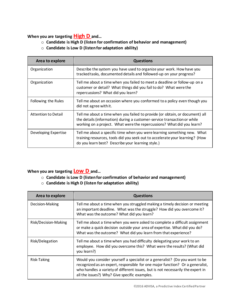# **When you are targeting High D and…**

- o **Candidate is High D (listen for confirmation of behavior and management)**
- o **Candidate is Low D (listen for adaptation ability)**

| Area to explore      | <b>Questions</b>                                                                                                                                                                                                                   |
|----------------------|------------------------------------------------------------------------------------------------------------------------------------------------------------------------------------------------------------------------------------|
| Organization         | Describe the system you have used to organize your work. How have you<br>tracked tasks, documented details and followed-up on your progress?                                                                                       |
| Organization         | Tell me about a time when you failed to meet a deadline or follow-up on a<br>customer or detail? What things did you fail to do? What were the<br>repercussions? What did you learn?                                               |
| Following the Rules  | Tell me about an occasion where you conformed to a policy even though you<br>did not agree with it.                                                                                                                                |
| Attention to Detail  | Tell me about a time when you failed to provide (or obtain, or document) all<br>the details (information) during a customer-service transaction or while<br>working on a project. What were the repercussions? What did you learn? |
| Developing Expertise | Tell me about a specific time when you were learning something new. What<br>training resources, tools did you seek out to accelerate your learning? (How<br>do you learn best? Describe your learning style.)                      |

# **When you are targeting Low D and…**

- o **Candidate is Low D (listen for confirmation of behavior and management)**
- o **Candidate is High D (listen for adaptation ability)**

| Area to explore      | <b>Questions</b>                                                                                                                                                                                                                                                                                  |
|----------------------|---------------------------------------------------------------------------------------------------------------------------------------------------------------------------------------------------------------------------------------------------------------------------------------------------|
| Decision-Making      | Tell me about a time when you struggled making a timely decision or meeting<br>an important deadline. What was the struggle? How did you overcome it?<br>What was the outcome? What did you learn?                                                                                                |
| Risk/Decision-Making | Tell me about a time when you were asked to complete a difficult assignment<br>or make a quick decision outside your area of expertise. What did you do?<br>What was the outcome? What did you learn from that experience?                                                                        |
| Risk/Delegation      | Tell me about a time when you had difficulty delegating your work to an<br>employee. How did you overcome this? What were the results? (What did<br>you learn?)                                                                                                                                   |
| Risk-Taking          | Would you consider yourself a specialist or a generalist? (Do you want to be<br>recognized as an expert, responsible for one major function? Or a generalist,<br>who handles a variety of different issues, but is not necessarily the expert in<br>all the issues?) Why? Give specific examples. |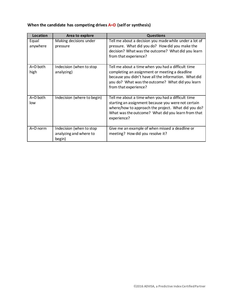| Location            | Area to explore                                              | <b>Questions</b>                                                                                                                                                                                                                           |
|---------------------|--------------------------------------------------------------|--------------------------------------------------------------------------------------------------------------------------------------------------------------------------------------------------------------------------------------------|
| Equal<br>anywhere   | Making decisions under<br>pressure                           | Tell me about a decision you made while under a lot of<br>pressure. What did you do? How did you make the<br>decision? What was the outcome? What did you learn<br>from that experience?                                                   |
| A=D both<br>high    | Indecision (when to stop<br>analyzing)                       | Tell me about a time when you had a difficult time<br>completing an assignment or meeting a deadline<br>because you didn't have all the information. What did<br>you do? What was the outcome? What did you learn<br>from that experience? |
| $A = D$ both<br>low | Indecision (where to begin)                                  | Tell me about a time when you had a difficult time<br>starting an assignment because you were not certain<br>where/how to approach the project. What did you do?<br>What was the outcome? What did you learn from that<br>experience?      |
| A=D norm            | Indecision (when to stop<br>analyzing and where to<br>begin) | Give me an example of when missed a deadline or<br>meeting? How did you resolve it?                                                                                                                                                        |

# **When the candidate has competing drives A=D (self or synthesis)**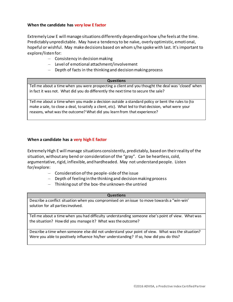#### **When the candidate has very low E factor**

Extremely Low E will manage situations differently depending on how s/he feels at the time. Predictably unpredictable. May have a tendency to be naïve, overly optimistic, emoti onal, hopeful or wishful. May make decisions based on whom s/he spoke with last. It's important to explore/listen for:

- Consistency in decision making
- Level of emotional attachment/involvement
- Depth of facts in the thinking and decision making process

#### **Questions**

Tell me about a time when you were prospecting a client and you thought the deal was 'closed' when in fact it was not. What did you do differently the next time to secure the sale?

Tell me about a time when you made a decision outside a standard policy or bent the rules to (to make a sale, to close a deal, to satisfy a client, etc). What led to that decision, what were your reasons, what was the outcome? What did you learn from that experience?

#### **When a candidate has a very high E factor**

Extremely High E will manage situations consistently, predictably, based on their reality of the situation, without any bend or consideration of the "gray". Can be heartless, cold, argumentative, rigid, inflexible, and hardheaded. May not understand people. Listen for/explore:

- Consideration of the people-side of the issue
- Depth of feeling in the thinking and decision making process
- Thinking out of the box-the unknown-the untried

#### **Questions**

Describe a conflict situation when you compromised on an issue to move towards a "win-win' solution for all parties involved.

Tell me about a time when you had difficulty understanding someone else's point of view. What was the situation? How did you manage it? What was the outcome?

Describe a time when someone else did not understand your point of view. What was the situation? Were you able to positively influence his/her understanding? If so, how did you do this?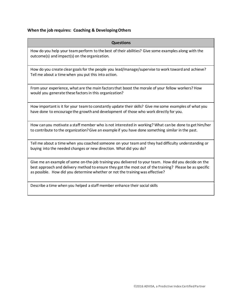#### **When the job requires: Coaching & Developing Others**

#### **Questions**

How do you help your teamperform to the best of their abilities? Give some examples along with the outcome(s) and impact(s) on the organization.

How do you create clear goals for the people you lead/manage/supervise to work toward and achieve? Tell me about a time when you put this into action.

From your experience, what are the main factors that boost the morale of your fellow workers? How would you generate these factors in this organization?

How important is it for your teamto constantly update their skills? Give me some examples of what you have done to encourage the growth and development of those who work directly for you.

How can you motivate a staff member who is not interested in working? What can be done to get him/her to contribute to the organization? Give an example if you have done something similar in the past.

Tell me about a time when you coached someone on your team and they had difficulty understanding or buying into the needed changes or new direction. What did you do?

Give me an example of some on-the-job training you delivered to your team. How did you decide on the best approach and delivery method to ensure they got the most out of the training? Please be as specific as possible. How did you determine whether or not the training was effective?

Describe a time when you helped a staff member enhance their social skills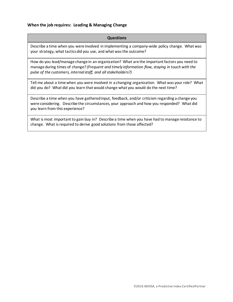#### **When the job requires: Leading & Managing Change**

#### **Questions**

Describe a time when you were involved in implementing a company-wide policy change. What was your strategy, what tactics did you use, and what was the outcome?

How do you lead/manage change in an organization? What are the important factors you need to manage during times of change? *(Frequent and timely information flow,staying in touch with the pulse of the customers, internal staff, and all stakeholders?)* 

Tell me about a time when you were involved in a changing organization. What was your role? What did you do? What did you learn that would change what you would do the next time?

Describe a time when you have gathered input, feedback, and/or criticism regarding a change you were considering. Describe the circumstances, your approach and how you responded? What did you learn from this experience?

What is most important to gain buy in? Describe a time when you have had to manage resistance to change. What is required to derive good solutions from those affected?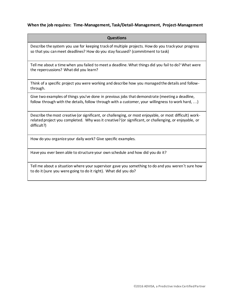#### **When the job requires: Time-Management, Task/Detail-Management, Project-Management**

| <b>Questions</b>                                                                                                                                                                                                                |
|---------------------------------------------------------------------------------------------------------------------------------------------------------------------------------------------------------------------------------|
| Describe the system you use for keeping track of multiple projects. How do you track your progress<br>so that you can meet deadlines? How do you stay focused? (commitment to task)                                             |
| Tell me about a time when you failed to meet a deadline. What things did you fail to do? What were<br>the repercussions? What did you learn?                                                                                    |
| Think of a specific project you were working and describe how you managed the details and follow-<br>through.                                                                                                                   |
| Give two examples of things you've done in previous jobs that demonstrate (meeting a deadline,<br>follow through with the details, follow through with a customer, your willingness to work hard, )                             |
| Describe the most creative (or significant, or challenging, or most enjoyable, or most difficult) work-<br>related project you completed. Why was it creative? (or significant, or challenging, or enjoyable, or<br>difficult?) |
| How do you organize your daily work? Give specific examples.                                                                                                                                                                    |
| Have you ever been able to structure your own schedule and how did you do it?                                                                                                                                                   |

Tell me about a situation where your supervisor gave you something to do and you weren't sure how to do it (sure you were going to do it right). What did you do?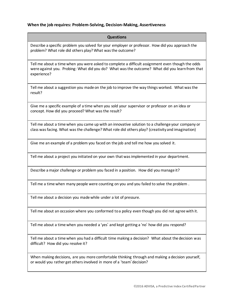#### **When the job requires: Problem-Solving, Decision-Making, Assertiveness**

| <b>Questions</b>                                                                                                                                                                                                  |
|-------------------------------------------------------------------------------------------------------------------------------------------------------------------------------------------------------------------|
| Describe a specific problem you solved for your employer or professor. How did you approach the<br>problem? What role did others play? What was the outcome?                                                      |
| Tell me about a time when you were asked to complete a difficult assignment even though the odds<br>were against you. Probing: What did you do? What was the outcome? What did you learn from that<br>experience? |
| Tell me about a suggestion you made on the job to improve the way things worked. What was the<br>result?                                                                                                          |
| Give me a specific example of a time when you sold your supervisor or professor on an idea or<br>concept. How did you proceed? What was the result?                                                               |
| Tell me about a time when you came up with an innovative solution to a challenge your company or<br>class was facing. What was the challenge? What role did others play? (creativity and imagination)             |
| Give me an example of a problem you faced on the job and tell me how you solved it.                                                                                                                               |
| Tell me about a project you initiated on your own that was implemented in your department.                                                                                                                        |
| Describe a major challenge or problem you faced in a position. How did you manage it?                                                                                                                             |
| Tell me a time when many people were counting on you and you failed to solve the problem.                                                                                                                         |
| Tell me about a decision you made while under a lot of pressure.                                                                                                                                                  |
| Tell me about an occasion where you conformed to a policy even though you did not agree with it.                                                                                                                  |
| Tell me about a time when you needed a 'yes' and kept getting a 'no' how did you respond?                                                                                                                         |
| Tell me about a time when you had a difficult time making a decision? What about the decision was<br>difficult? How did you resolve it?                                                                           |

When making decisions, are you more comfortable thinking through and making a decision yourself, or would you rather get others involved in more of a 'team' decision?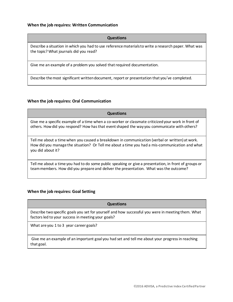#### **When the job requires: Written Communication**

#### **Questions**

Describe a situation in which you had to use reference materials to write a research paper. What was the topic? What journals did you read?

Give me an example of a problem you solved that required documentation.

Describe the most significant written document, report or presentation that you've completed.

#### **When the job requires: Oral Communication**

# **Questions** Give me a specific example of a time when a co-worker or classmate criticized your work in front of others. How did you respond? How has that event shaped the way you communicate with others? Tell me about a time when you caused a breakdown in communication (verbal or written) at work. How did you manage the situation? Or Tell me about a time you had a mis-communication and what you did about it?

Tell me about a time you had to do some public speaking or give a presentation, in front of groups or team members. How did you prepare and deliver the presentation. What was the outcome?

#### **When the job requires: Goal Setting**

# **Questions** Describe two specific goals you set for yourself and how successful you were in meeting them. What factors led to your success in meeting your goals? What are you 1 to 3 year career goals?

Give me an example of an important goal you had set and tell me about your progress in reaching that goal.